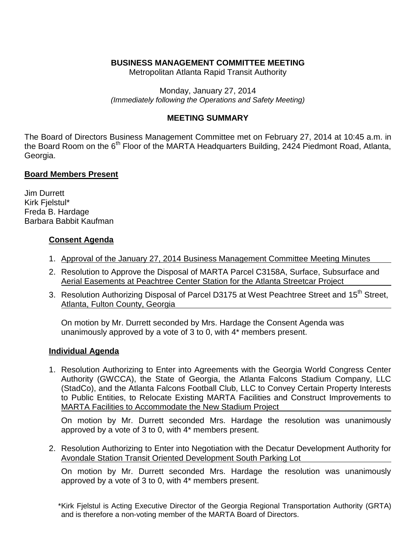# **BUSINESS MANAGEMENT COMMITTEE MEETING**

Metropolitan Atlanta Rapid Transit Authority

Monday, January 27, 2014 *(Immediately following the Operations and Safety Meeting)*

## **MEETING SUMMARY**

The Board of Directors Business Management Committee met on February 27, 2014 at 10:45 a.m. in the Board Room on the 6<sup>th</sup> Floor of the MARTA Headquarters Building, 2424 Piedmont Road, Atlanta, Georgia.

### **Board Members Present**

Jim Durrett Kirk Fjelstul\* Freda B. Hardage Barbara Babbit Kaufman

### **Consent Agenda**

- 1. Approval of the January 27, 2014 Business Management Committee Meeting Minutes
- 2. Resolution to Approve the Disposal of MARTA Parcel C3158A, Surface, Subsurface and Aerial Easements at Peachtree Center Station for the Atlanta Streetcar Project
- 3. Resolution Authorizing Disposal of Parcel D3175 at West Peachtree Street and 15<sup>th</sup> Street, Atlanta, Fulton County, Georgia

On motion by Mr. Durrett seconded by Mrs. Hardage the Consent Agenda was unanimously approved by a vote of 3 to 0, with 4\* members present.

#### **Individual Agenda**

1. Resolution Authorizing to Enter into Agreements with the Georgia World Congress Center Authority (GWCCA), the State of Georgia, the Atlanta Falcons Stadium Company, LLC (StadCo), and the Atlanta Falcons Football Club, LLC to Convey Certain Property Interests to Public Entities, to Relocate Existing MARTA Facilities and Construct Improvements to MARTA Facilities to Accommodate the New Stadium Project

On motion by Mr. Durrett seconded Mrs. Hardage the resolution was unanimously approved by a vote of 3 to 0, with 4\* members present.

2. Resolution Authorizing to Enter into Negotiation with the Decatur Development Authority for Avondale Station Transit Oriented Development South Parking Lot

On motion by Mr. Durrett seconded Mrs. Hardage the resolution was unanimously approved by a vote of 3 to 0, with 4\* members present.

<sup>\*</sup>Kirk Fjelstul is Acting Executive Director of the Georgia Regional Transportation Authority (GRTA) and is therefore a non-voting member of the MARTA Board of Directors.